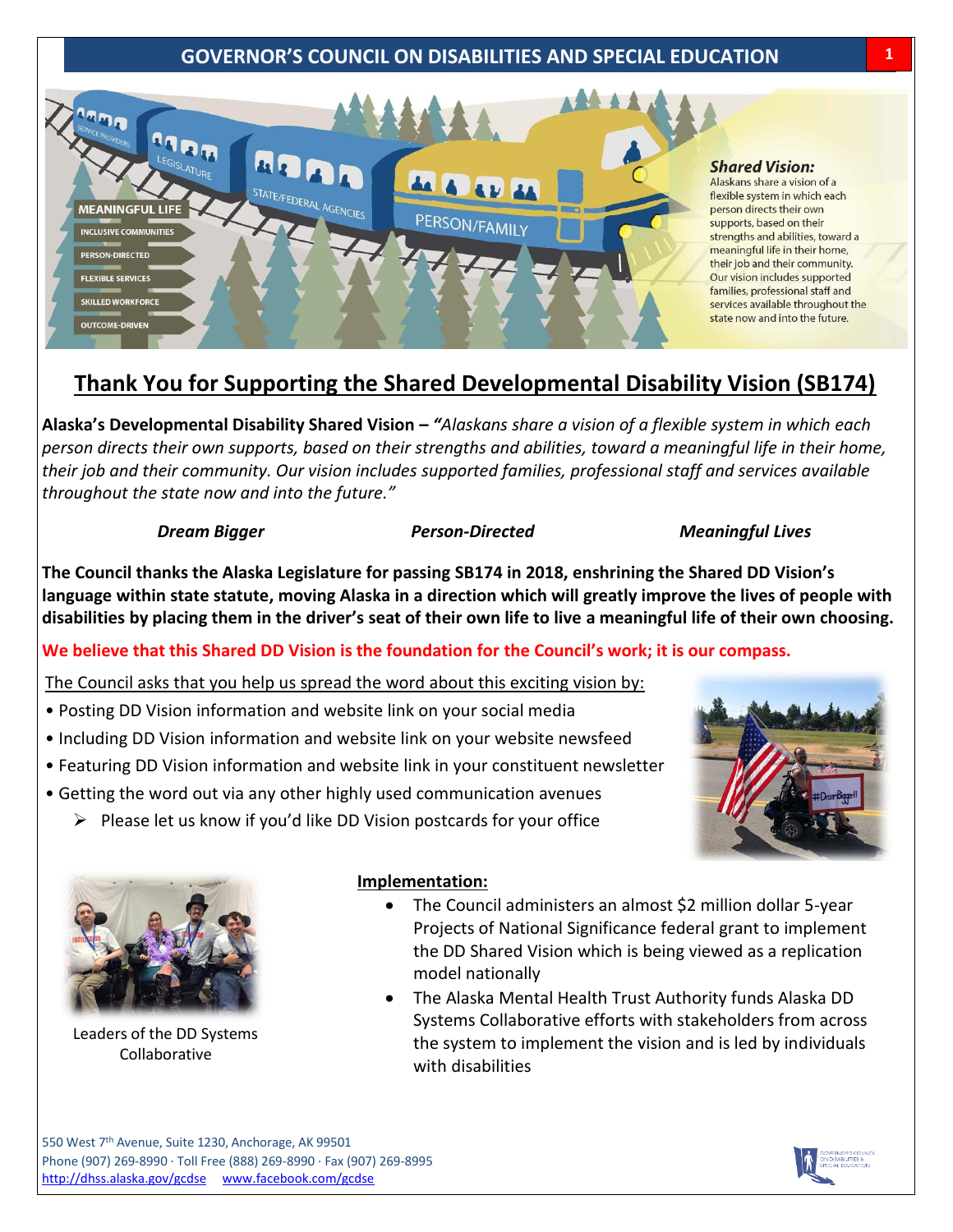### **GOVERNOR'S COUNCIL ON DISABILITIES AND SPECIAL EDUCATION 1**



## **Thank You for Supporting the Shared Developmental Disability Vision (SB174)**

**Alaska's Developmental Disability Shared Vision –** *"Alaskans share a vision of a flexible system in which each person directs their own supports, based on their strengths and abilities, toward a meaningful life in their home, their job and their community. Our vision includes supported families, professional staff and services available throughout the state now and into the future."* 

#### *Dream Bigger Person-Directed Company Meaningful Lives*

**The Council thanks the Alaska Legislature for passing SB174 in 2018, enshrining the Shared DD Vision's language within state statute, moving Alaska in a direction which will greatly improve the lives of people with disabilities by placing them in the driver's seat of their own life to live a meaningful life of their own choosing.**

#### **We believe that this Shared DD Vision is the foundation for the Council's work; it is our compass.**

The Council asks that you help us spread the word about this exciting vision by:

- Posting DD Vision information and website link on your social media
- Including DD Vision information and website link on your website newsfeed
- Featuring DD Vision information and website link in your constituent newsletter
- Getting the word out via any other highly used communication avenues
	- $\triangleright$  Please let us know if you'd like DD Vision postcards for your office





Leaders of the DD Systems Collaborative

#### **Implementation:**

- The Council administers an almost \$2 million dollar 5-year Projects of National Significance federal grant to implement the DD Shared Vision which is being viewed as a replication model nationally
- The Alaska Mental Health Trust Authority funds Alaska DD Systems Collaborative efforts with stakeholders from across the system to implement the vision and is led by individuals with disabilities